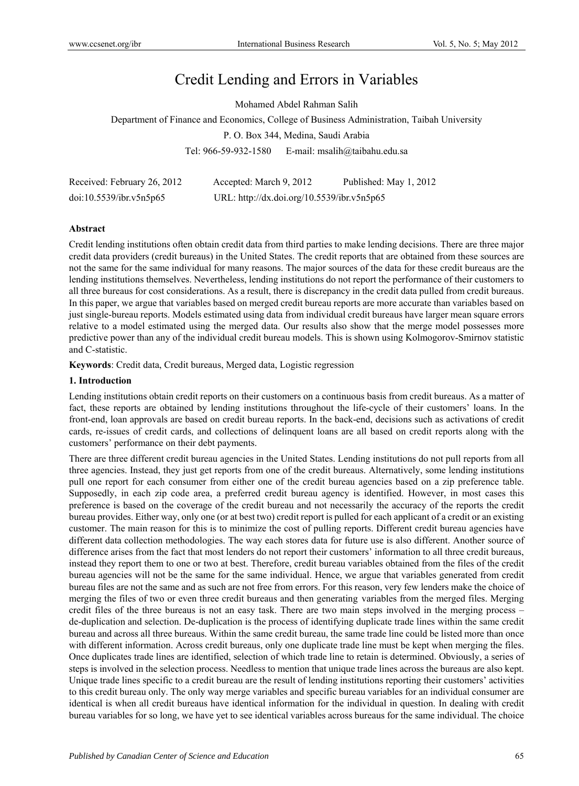# Credit Lending and Errors in Variables

Mohamed Abdel Rahman Salih

Department of Finance and Economics, College of Business Administration, Taibah University

P. O. Box 344, Medina, Saudi Arabia

Tel: 966-59-932-1580 E-mail: msalih@taibahu.edu.sa

| Received: February 26, 2012 | Accepted: March 9, 2012                    | Published: May 1, 2012 |
|-----------------------------|--------------------------------------------|------------------------|
| doi:10.5539/ibr.v5n5p65     | URL: http://dx.doi.org/10.5539/ibr.v5n5p65 |                        |

#### **Abstract**

Credit lending institutions often obtain credit data from third parties to make lending decisions. There are three major credit data providers (credit bureaus) in the United States. The credit reports that are obtained from these sources are not the same for the same individual for many reasons. The major sources of the data for these credit bureaus are the lending institutions themselves. Nevertheless, lending institutions do not report the performance of their customers to all three bureaus for cost considerations. As a result, there is discrepancy in the credit data pulled from credit bureaus. In this paper, we argue that variables based on merged credit bureau reports are more accurate than variables based on just single-bureau reports. Models estimated using data from individual credit bureaus have larger mean square errors relative to a model estimated using the merged data. Our results also show that the merge model possesses more predictive power than any of the individual credit bureau models. This is shown using Kolmogorov-Smirnov statistic and C-statistic.

**Keywords**: Credit data, Credit bureaus, Merged data, Logistic regression

#### **1. Introduction**

Lending institutions obtain credit reports on their customers on a continuous basis from credit bureaus. As a matter of fact, these reports are obtained by lending institutions throughout the life-cycle of their customers' loans. In the front-end, loan approvals are based on credit bureau reports. In the back-end, decisions such as activations of credit cards, re-issues of credit cards, and collections of delinquent loans are all based on credit reports along with the customers' performance on their debt payments.

There are three different credit bureau agencies in the United States. Lending institutions do not pull reports from all three agencies. Instead, they just get reports from one of the credit bureaus. Alternatively, some lending institutions pull one report for each consumer from either one of the credit bureau agencies based on a zip preference table. Supposedly, in each zip code area, a preferred credit bureau agency is identified. However, in most cases this preference is based on the coverage of the credit bureau and not necessarily the accuracy of the reports the credit bureau provides. Either way, only one (or at best two) credit report is pulled for each applicant of a credit or an existing customer. The main reason for this is to minimize the cost of pulling reports. Different credit bureau agencies have different data collection methodologies. The way each stores data for future use is also different. Another source of difference arises from the fact that most lenders do not report their customers' information to all three credit bureaus, instead they report them to one or two at best. Therefore, credit bureau variables obtained from the files of the credit bureau agencies will not be the same for the same individual. Hence, we argue that variables generated from credit bureau files are not the same and as such are not free from errors. For this reason, very few lenders make the choice of merging the files of two or even three credit bureaus and then generating variables from the merged files. Merging credit files of the three bureaus is not an easy task. There are two main steps involved in the merging process – de-duplication and selection. De-duplication is the process of identifying duplicate trade lines within the same credit bureau and across all three bureaus. Within the same credit bureau, the same trade line could be listed more than once with different information. Across credit bureaus, only one duplicate trade line must be kept when merging the files. Once duplicates trade lines are identified, selection of which trade line to retain is determined. Obviously, a series of steps is involved in the selection process. Needless to mention that unique trade lines across the bureaus are also kept. Unique trade lines specific to a credit bureau are the result of lending institutions reporting their customers' activities to this credit bureau only. The only way merge variables and specific bureau variables for an individual consumer are identical is when all credit bureaus have identical information for the individual in question. In dealing with credit bureau variables for so long, we have yet to see identical variables across bureaus for the same individual. The choice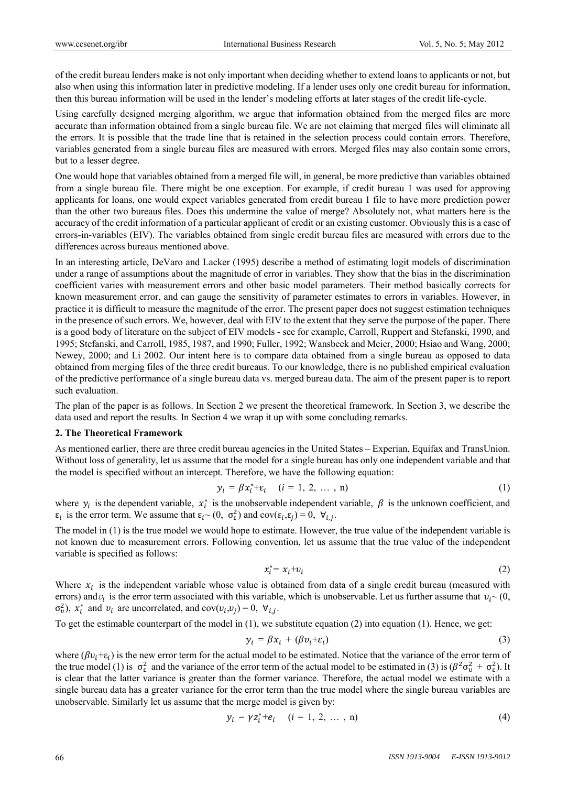of the credit bureau lenders make is not only important when deciding whether to extend loans to applicants or not, but also when using this information later in predictive modeling. If a lender uses only one credit bureau for information, then this bureau information will be used in the lender's modeling efforts at later stages of the credit life-cycle.

Using carefully designed merging algorithm, we argue that information obtained from the merged files are more accurate than information obtained from a single bureau file. We are not claiming that merged files will eliminate all the errors. It is possible that the trade line that is retained in the selection process could contain errors. Therefore, variables generated from a single bureau files are measured with errors. Merged files may also contain some errors, but to a lesser degree.

One would hope that variables obtained from a merged file will, in general, be more predictive than variables obtained from a single bureau file. There might be one exception. For example, if credit bureau 1 was used for approving applicants for loans, one would expect variables generated from credit bureau 1 file to have more prediction power than the other two bureaus files. Does this undermine the value of merge? Absolutely not, what matters here is the accuracy of the credit information of a particular applicant of credit or an existing customer. Obviously this is a case of errors-in-variables (EIV). The variables obtained from single credit bureau files are measured with errors due to the differences across bureaus mentioned above.

In an interesting article, DeVaro and Lacker (1995) describe a method of estimating logit models of discrimination under a range of assumptions about the magnitude of error in variables. They show that the bias in the discrimination coefficient varies with measurement errors and other basic model parameters. Their method basically corrects for known measurement error, and can gauge the sensitivity of parameter estimates to errors in variables. However, in practice it is difficult to measure the magnitude of the error. The present paper does not suggest estimation techniques in the presence of such errors. We, however, deal with EIV to the extent that they serve the purpose of the paper. There is a good body of literature on the subject of EIV models - see for example, Carroll, Ruppert and Stefanski, 1990, and 1995; Stefanski, and Carroll, 1985, 1987, and 1990; Fuller, 1992; Wansbeek and Meier, 2000; Hsiao and Wang, 2000; Newey, 2000; and Li 2002. Our intent here is to compare data obtained from a single bureau as opposed to data obtained from merging files of the three credit bureaus. To our knowledge, there is no published empirical evaluation of the predictive performance of a single bureau data vs. merged bureau data. The aim of the present paper is to report such evaluation.

The plan of the paper is as follows. In Section 2 we present the theoretical framework. In Section 3, we describe the data used and report the results. In Section 4 we wrap it up with some concluding remarks.

#### **2. The Theoretical Framework**

As mentioned earlier, there are three credit bureau agencies in the United States – Experian, Equifax and TransUnion. Without loss of generality, let us assume that the model for a single bureau has only one independent variable and that the model is specified without an intercept. Therefore, we have the following equation:

$$
y_i = \beta x_i^* + \varepsilon_i
$$
  $(i = 1, 2, ..., n)$  (1)

where  $y_i$  is the dependent variable,  $x_i^*$  is the unobservable independent variable,  $\beta$  is the unknown coefficient, and  $\varepsilon_i$  is the error term. We assume that  $\varepsilon_i \sim (0, \sigma_{\varepsilon}^2)$  and  $\text{cov}(\varepsilon_i, \varepsilon_j) = 0, \forall_{i,j}$ .

The model in (1) is the true model we would hope to estimate. However, the true value of the independent variable is not known due to measurement errors. Following convention, let us assume that the true value of the independent variable is specified as follows:

$$
x_i^* = x_i + v_i \tag{2}
$$

Where  $x_i$  is the independent variable whose value is obtained from data of a single credit bureau (measured with errors) and  $v_i$  is the error term associated with this variable, which is unobservable. Let us further assume that  $v_i \sim (0, 1)$  $σ<sub>v</sub><sup>2</sup>$ ),  $x<sub>i</sub><sup>*</sup>$  and  $v<sub>i</sub>$  are uncorrelated, and cov $(v<sub>i</sub>, v<sub>j</sub>) = 0$ ,  $∀<sub>i,j</sub>$ .

To get the estimable counterpart of the model in (1), we substitute equation (2) into equation (1). Hence, we get:

$$
y_i = \beta x_i + (\beta v_i + \varepsilon_i) \tag{3}
$$

where ( $\beta v_i + \varepsilon_i$ ) is the new error term for the actual model to be estimated. Notice that the variance of the error term of the true model (1) is  $\sigma_{\epsilon}^2$  and the variance of the error term of the actual model to be estimated in (3) is  $(\beta^2 \sigma_v^2 + \sigma_{\epsilon}^2)$ . It is clear that the latter variance is greater than the former variance. Therefore, the actual model we estimate with a single bureau data has a greater variance for the error term than the true model where the single bureau variables are unobservable. Similarly let us assume that the merge model is given by:

$$
y_i = \gamma z_i^* + e_i \quad (i = 1, 2, \dots, n)
$$
 (4)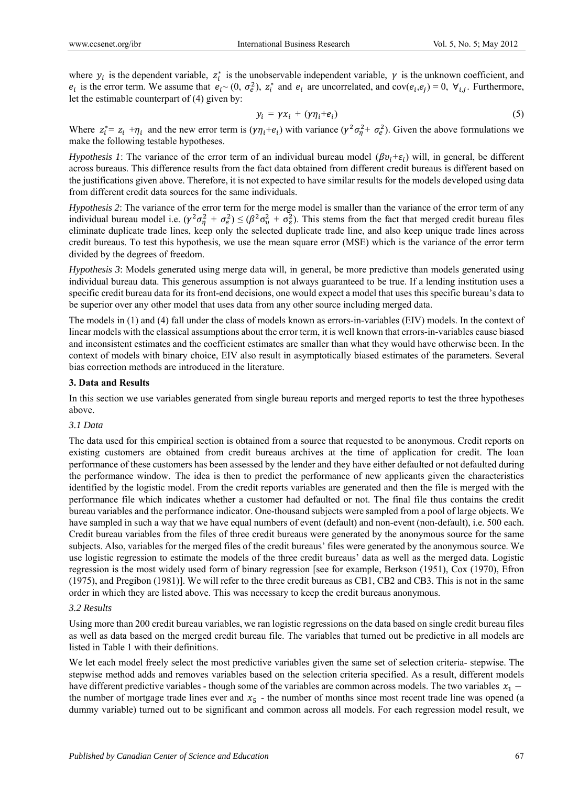where  $y_i$  is the dependent variable,  $z_i^*$  is the unobservable independent variable,  $\gamma$  is the unknown coefficient, and  $e_i$  is the error term. We assume that  $e_i \sim (0, \sigma_e^2)$ ,  $z_i^*$  and  $e_i$  are uncorrelated, and  $cov(e_i, e_j) = 0$ ,  $\forall_{i,j}$ . Furthermore, let the estimable counterpart of (4) given by:

$$
y_i = \gamma x_i + (\gamma \eta_i + e_i) \tag{5}
$$

Where  $z_i^* = z_i + \eta_i$  and the new error term is  $(\gamma \eta_i + e_i)$  with variance  $(\gamma^2 \sigma_\eta^2 + \sigma_e^2)$ . Given the above formulations we make the following testable hypotheses.

*Hypothesis 1*: The variance of the error term of an individual bureau model  $(\beta v_i + \varepsilon_i)$  will, in general, be different across bureaus. This difference results from the fact data obtained from different credit bureaus is different based on the justifications given above. Therefore, it is not expected to have similar results for the models developed using data from different credit data sources for the same individuals.

*Hypothesis 2*: The variance of the error term for the merge model is smaller than the variance of the error term of any individual bureau model i.e.  $(\gamma^2 \sigma_\eta^2 + \sigma_e^2) \leq (\beta^2 \sigma_v^2 + \sigma_e^2)$ . This stems from the fact that merged credit bureau files eliminate duplicate trade lines, keep only the selected duplicate trade line, and also keep unique trade lines across credit bureaus. To test this hypothesis, we use the mean square error (MSE) which is the variance of the error term divided by the degrees of freedom.

*Hypothesis 3*: Models generated using merge data will, in general, be more predictive than models generated using individual bureau data. This generous assumption is not always guaranteed to be true. If a lending institution uses a specific credit bureau data for its front-end decisions, one would expect a model that uses this specific bureau's data to be superior over any other model that uses data from any other source including merged data.

The models in (1) and (4) fall under the class of models known as errors-in-variables (EIV) models. In the context of linear models with the classical assumptions about the error term, it is well known that errors-in-variables cause biased and inconsistent estimates and the coefficient estimates are smaller than what they would have otherwise been. In the context of models with binary choice, EIV also result in asymptotically biased estimates of the parameters. Several bias correction methods are introduced in the literature.

#### **3. Data and Results**

In this section we use variables generated from single bureau reports and merged reports to test the three hypotheses above.

#### *3.1 Data*

The data used for this empirical section is obtained from a source that requested to be anonymous. Credit reports on existing customers are obtained from credit bureaus archives at the time of application for credit. The loan performance of these customers has been assessed by the lender and they have either defaulted or not defaulted during the performance window. The idea is then to predict the performance of new applicants given the characteristics identified by the logistic model. From the credit reports variables are generated and then the file is merged with the performance file which indicates whether a customer had defaulted or not. The final file thus contains the credit bureau variables and the performance indicator. One-thousand subjects were sampled from a pool of large objects. We have sampled in such a way that we have equal numbers of event (default) and non-event (non-default), i.e. 500 each. Credit bureau variables from the files of three credit bureaus were generated by the anonymous source for the same subjects. Also, variables for the merged files of the credit bureaus' files were generated by the anonymous source. We use logistic regression to estimate the models of the three credit bureaus' data as well as the merged data. Logistic regression is the most widely used form of binary regression [see for example, Berkson (1951), Cox (1970), Efron (1975), and Pregibon (1981)]. We will refer to the three credit bureaus as CB1, CB2 and CB3. This is not in the same order in which they are listed above. This was necessary to keep the credit bureaus anonymous.

#### *3.2 Results*

Using more than 200 credit bureau variables, we ran logistic regressions on the data based on single credit bureau files as well as data based on the merged credit bureau file. The variables that turned out be predictive in all models are listed in Table 1 with their definitions.

We let each model freely select the most predictive variables given the same set of selection criteria- stepwise. The stepwise method adds and removes variables based on the selection criteria specified. As a result, different models have different predictive variables - though some of the variables are common across models. The two variables  $x_1$  – the number of mortgage trade lines ever and  $x<sub>5</sub>$  - the number of months since most recent trade line was opened (a dummy variable) turned out to be significant and common across all models. For each regression model result, we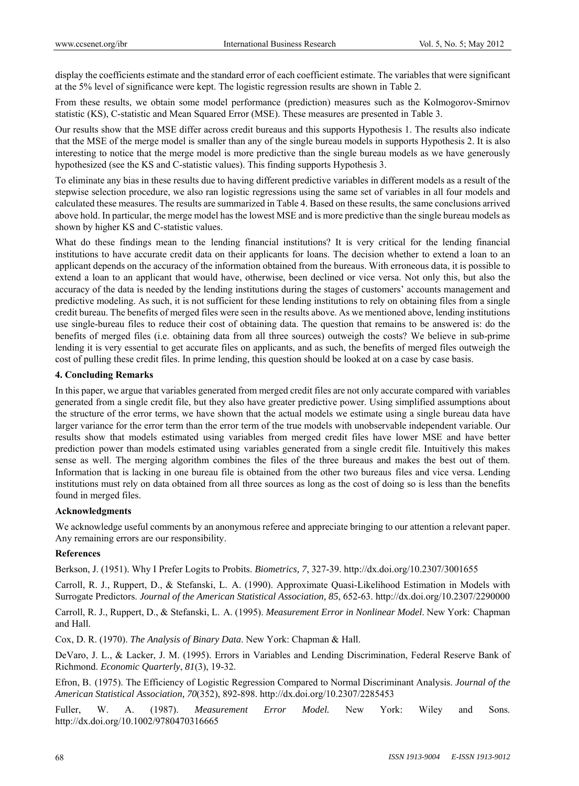display the coefficients estimate and the standard error of each coefficient estimate. The variables that were significant at the 5% level of significance were kept. The logistic regression results are shown in Table 2.

From these results, we obtain some model performance (prediction) measures such as the Kolmogorov-Smirnov statistic (KS), C-statistic and Mean Squared Error (MSE). These measures are presented in Table 3.

Our results show that the MSE differ across credit bureaus and this supports Hypothesis 1. The results also indicate that the MSE of the merge model is smaller than any of the single bureau models in supports Hypothesis 2. It is also interesting to notice that the merge model is more predictive than the single bureau models as we have generously hypothesized (see the KS and C-statistic values). This finding supports Hypothesis 3.

To eliminate any bias in these results due to having different predictive variables in different models as a result of the stepwise selection procedure, we also ran logistic regressions using the same set of variables in all four models and calculated these measures. The results are summarized in Table 4. Based on these results, the same conclusions arrived above hold. In particular, the merge model has the lowest MSE and is more predictive than the single bureau models as shown by higher KS and C-statistic values.

What do these findings mean to the lending financial institutions? It is very critical for the lending financial institutions to have accurate credit data on their applicants for loans. The decision whether to extend a loan to an applicant depends on the accuracy of the information obtained from the bureaus. With erroneous data, it is possible to extend a loan to an applicant that would have, otherwise, been declined or vice versa. Not only this, but also the accuracy of the data is needed by the lending institutions during the stages of customers' accounts management and predictive modeling. As such, it is not sufficient for these lending institutions to rely on obtaining files from a single credit bureau. The benefits of merged files were seen in the results above. As we mentioned above, lending institutions use single-bureau files to reduce their cost of obtaining data. The question that remains to be answered is: do the benefits of merged files (i.e. obtaining data from all three sources) outweigh the costs? We believe in sub-prime lending it is very essential to get accurate files on applicants, and as such, the benefits of merged files outweigh the cost of pulling these credit files. In prime lending, this question should be looked at on a case by case basis.

#### **4. Concluding Remarks**

In this paper, we argue that variables generated from merged credit files are not only accurate compared with variables generated from a single credit file, but they also have greater predictive power. Using simplified assumptions about the structure of the error terms, we have shown that the actual models we estimate using a single bureau data have larger variance for the error term than the error term of the true models with unobservable independent variable. Our results show that models estimated using variables from merged credit files have lower MSE and have better prediction power than models estimated using variables generated from a single credit file. Intuitively this makes sense as well. The merging algorithm combines the files of the three bureaus and makes the best out of them. Information that is lacking in one bureau file is obtained from the other two bureaus files and vice versa. Lending institutions must rely on data obtained from all three sources as long as the cost of doing so is less than the benefits found in merged files.

#### **Acknowledgments**

We acknowledge useful comments by an anonymous referee and appreciate bringing to our attention a relevant paper. Any remaining errors are our responsibility.

#### **References**

Berkson, J. (1951). Why I Prefer Logits to Probits. *Biometrics, 7*, 327-39. http://dx.doi.org/10.2307/3001655

Carroll, R. J., Ruppert, D., & Stefanski, L. A. (1990). Approximate Quasi-Likelihood Estimation in Models with Surrogate Predictors. *Journal of the American Statistical Association, 85*, 652-63. http://dx.doi.org/10.2307/2290000

Carroll, R. J., Ruppert, D., & Stefanski, L. A. (1995). *Measurement Error in Nonlinear Model*. New York: Chapman and Hall.

Cox, D. R. (1970). *The Analysis of Binary Data*. New York: Chapman & Hall.

DeVaro, J. L., & Lacker, J. M. (1995). Errors in Variables and Lending Discrimination, Federal Reserve Bank of Richmond. *Economic Quarterly*, *81*(3), 19-32.

Efron, B. (1975). The Efficiency of Logistic Regression Compared to Normal Discriminant Analysis. *Journal of the American Statistical Association, 70*(352), 892-898. http://dx.doi.org/10.2307/2285453

Fuller, W. A. (1987). *Measurement Error Model.* New York: Wiley and Sons. http://dx.doi.org/10.1002/9780470316665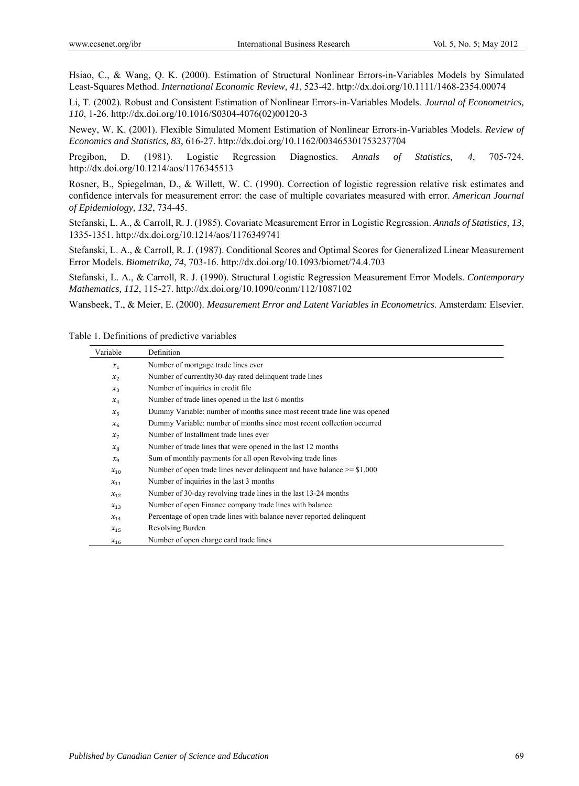Hsiao, C., & Wang, Q. K. (2000). Estimation of Structural Nonlinear Errors-in-Variables Models by Simulated Least-Squares Method. *International Economic Review, 41*, 523-42. http://dx.doi.org/10.1111/1468-2354.00074

Li, T. (2002). Robust and Consistent Estimation of Nonlinear Errors-in-Variables Models. *Journal of Econometrics, 110*, 1-26. http://dx.doi.org/10.1016/S0304-4076(02)00120-3

Newey, W. K. (2001). Flexible Simulated Moment Estimation of Nonlinear Errors-in-Variables Models. *Review of Economics and Statistics, 83*, 616-27. http://dx.doi.org/10.1162/003465301753237704

Pregibon, D. (1981). Logistic Regression Diagnostics. *Annals of Statistics, 4*, 705-724. http://dx.doi.org/10.1214/aos/1176345513

Rosner, B., Spiegelman, D., & Willett, W. C. (1990). Correction of logistic regression relative risk estimates and confidence intervals for measurement error: the case of multiple covariates measured with error. *American Journal of Epidemiology, 132*, 734-45.

Stefanski, L. A., & Carroll, R. J. (1985). Covariate Measurement Error in Logistic Regression. *Annals of Statistics, 13*, 1335-1351. http://dx.doi.org/10.1214/aos/1176349741

Stefanski, L. A., & Carroll, R. J. (1987). Conditional Scores and Optimal Scores for Generalized Linear Measurement Error Models. *Biometrika, 74*, 703-16. http://dx.doi.org/10.1093/biomet/74.4.703

Stefanski, L. A., & Carroll, R. J. (1990). Structural Logistic Regression Measurement Error Models. *Contemporary Mathematics, 112*, 115-27. http://dx.doi.org/10.1090/conm/112/1087102

Wansbeek, T., & Meier, E. (2000). *Measurement Error and Latent Variables in Econometrics*. Amsterdam: Elsevier.

| Table 1. Definitions of predictive variables |  |
|----------------------------------------------|--|
|----------------------------------------------|--|

| Variable    | Definition                                                                   |  |
|-------------|------------------------------------------------------------------------------|--|
| $x_1$       | Number of mortgage trade lines ever                                          |  |
| $x_{2}$     | Number of currentlty 30-day rated delinquent trade lines                     |  |
| $x_3$       | Number of inquiries in credit file.                                          |  |
| $x_4$       | Number of trade lines opened in the last 6 months                            |  |
| $x_{5}$     | Dummy Variable: number of months since most recent trade line was opened     |  |
| $x_{6}$     | Dummy Variable: number of months since most recent collection occurred       |  |
| $x_7$       | Number of Installment trade lines ever                                       |  |
| $x_{8}$     | Number of trade lines that were opened in the last 12 months                 |  |
| $x_{\rm q}$ | Sum of monthly payments for all open Revolving trade lines                   |  |
| $x_{10}$    | Number of open trade lines never delinquent and have balance $\ge$ = \$1,000 |  |
| $x_{11}$    | Number of inquiries in the last 3 months                                     |  |
| $x_{12}$    | Number of 30-day revolving trade lines in the last 13-24 months              |  |
| $x_{13}$    | Number of open Finance company trade lines with balance                      |  |
| $x_{14}$    | Percentage of open trade lines with balance never reported delinquent        |  |
| $x_{15}$    | Revolving Burden                                                             |  |
| $x_{16}$    | Number of open charge card trade lines                                       |  |